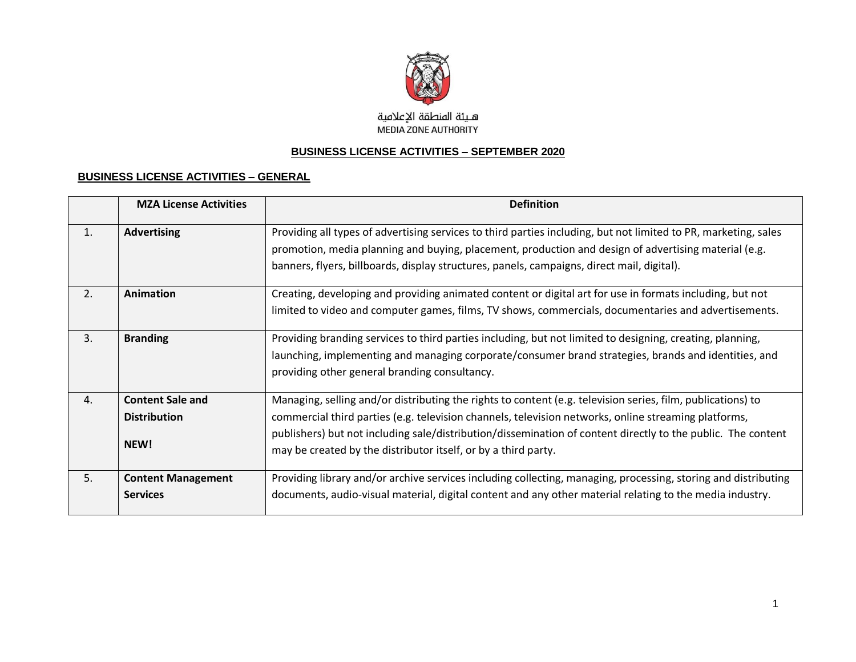

#### **BUSINESS LICENSE ACTIVITIES – SEPTEMBER 2020**

#### **BUSINESS LICENSE ACTIVITIES – GENERAL**

|    | <b>MZA License Activities</b>                          | <b>Definition</b>                                                                                                                                                                                                                                                                                                                                                                                     |
|----|--------------------------------------------------------|-------------------------------------------------------------------------------------------------------------------------------------------------------------------------------------------------------------------------------------------------------------------------------------------------------------------------------------------------------------------------------------------------------|
| 1. | <b>Advertising</b>                                     | Providing all types of advertising services to third parties including, but not limited to PR, marketing, sales<br>promotion, media planning and buying, placement, production and design of advertising material (e.g.<br>banners, flyers, billboards, display structures, panels, campaigns, direct mail, digital).                                                                                 |
| 2. | <b>Animation</b>                                       | Creating, developing and providing animated content or digital art for use in formats including, but not<br>limited to video and computer games, films, TV shows, commercials, documentaries and advertisements.                                                                                                                                                                                      |
| 3. | <b>Branding</b>                                        | Providing branding services to third parties including, but not limited to designing, creating, planning,<br>launching, implementing and managing corporate/consumer brand strategies, brands and identities, and<br>providing other general branding consultancy.                                                                                                                                    |
| 4. | <b>Content Sale and</b><br><b>Distribution</b><br>NEW! | Managing, selling and/or distributing the rights to content (e.g. television series, film, publications) to<br>commercial third parties (e.g. television channels, television networks, online streaming platforms,<br>publishers) but not including sale/distribution/dissemination of content directly to the public. The content<br>may be created by the distributor itself, or by a third party. |
| 5. | <b>Content Management</b><br><b>Services</b>           | Providing library and/or archive services including collecting, managing, processing, storing and distributing<br>documents, audio-visual material, digital content and any other material relating to the media industry.                                                                                                                                                                            |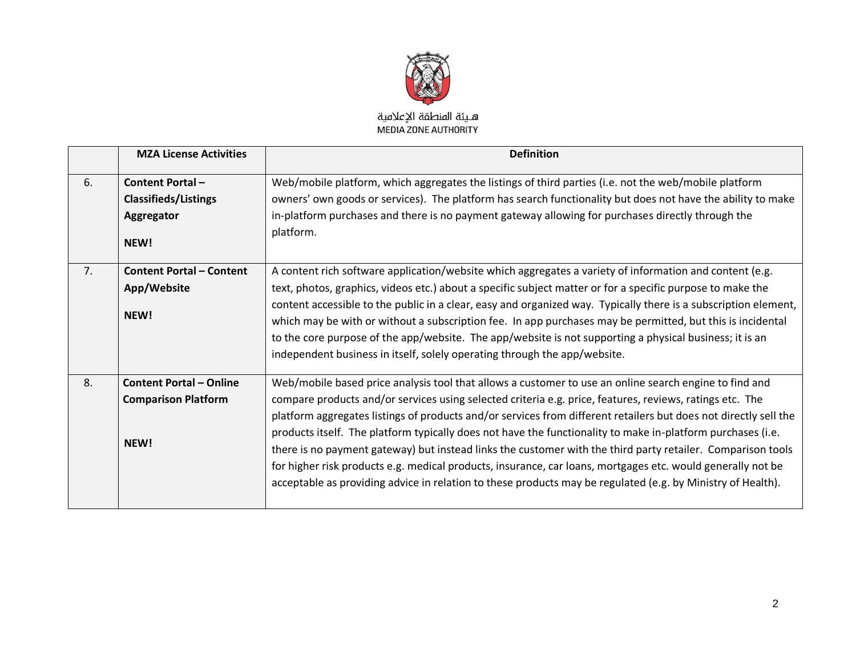

|    | <b>MZA License Activities</b>   | <b>Definition</b>                                                                                                |
|----|---------------------------------|------------------------------------------------------------------------------------------------------------------|
| 6. | <b>Content Portal -</b>         | Web/mobile platform, which aggregates the listings of third parties (i.e. not the web/mobile platform            |
|    | <b>Classifieds/Listings</b>     | owners' own goods or services). The platform has search functionality but does not have the ability to make      |
|    | Aggregator                      | in-platform purchases and there is no payment gateway allowing for purchases directly through the                |
|    | NEW!                            | platform.                                                                                                        |
| 7. | <b>Content Portal - Content</b> | A content rich software application/website which aggregates a variety of information and content (e.g.          |
|    | App/Website                     | text, photos, graphics, videos etc.) about a specific subject matter or for a specific purpose to make the       |
|    |                                 | content accessible to the public in a clear, easy and organized way. Typically there is a subscription element,  |
|    | NEW!                            | which may be with or without a subscription fee. In app purchases may be permitted, but this is incidental       |
|    |                                 | to the core purpose of the app/website. The app/website is not supporting a physical business; it is an          |
|    |                                 | independent business in itself, solely operating through the app/website.                                        |
| 8. | <b>Content Portal - Online</b>  | Web/mobile based price analysis tool that allows a customer to use an online search engine to find and           |
|    | <b>Comparison Platform</b>      | compare products and/or services using selected criteria e.g. price, features, reviews, ratings etc. The         |
|    |                                 | platform aggregates listings of products and/or services from different retailers but does not directly sell the |
|    |                                 | products itself. The platform typically does not have the functionality to make in-platform purchases (i.e.      |
|    | NEW!                            | there is no payment gateway) but instead links the customer with the third party retailer. Comparison tools      |
|    |                                 | for higher risk products e.g. medical products, insurance, car loans, mortgages etc. would generally not be      |
|    |                                 | acceptable as providing advice in relation to these products may be regulated (e.g. by Ministry of Health).      |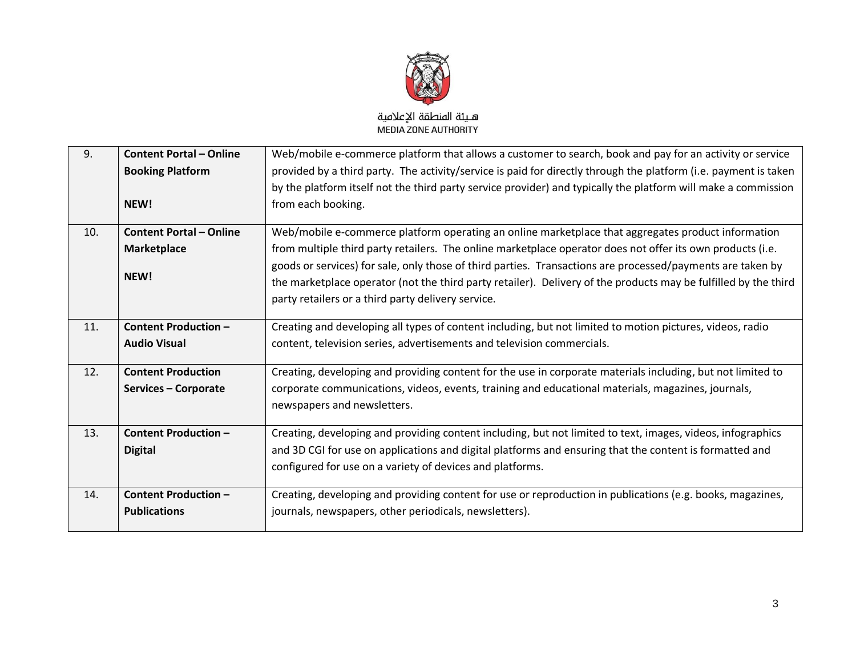

| 9.  | <b>Content Portal - Online</b> | Web/mobile e-commerce platform that allows a customer to search, book and pay for an activity or service         |
|-----|--------------------------------|------------------------------------------------------------------------------------------------------------------|
|     | <b>Booking Platform</b>        | provided by a third party. The activity/service is paid for directly through the platform (i.e. payment is taken |
|     |                                | by the platform itself not the third party service provider) and typically the platform will make a commission   |
|     | NEW!                           | from each booking.                                                                                               |
| 10. | <b>Content Portal - Online</b> | Web/mobile e-commerce platform operating an online marketplace that aggregates product information               |
|     | <b>Marketplace</b>             | from multiple third party retailers. The online marketplace operator does not offer its own products (i.e.       |
|     |                                | goods or services) for sale, only those of third parties. Transactions are processed/payments are taken by       |
|     | NEW!                           | the marketplace operator (not the third party retailer). Delivery of the products may be fulfilled by the third  |
|     |                                | party retailers or a third party delivery service.                                                               |
|     |                                |                                                                                                                  |
| 11. | <b>Content Production -</b>    | Creating and developing all types of content including, but not limited to motion pictures, videos, radio        |
|     | <b>Audio Visual</b>            | content, television series, advertisements and television commercials.                                           |
| 12. | <b>Content Production</b>      | Creating, developing and providing content for the use in corporate materials including, but not limited to      |
|     | Services - Corporate           | corporate communications, videos, events, training and educational materials, magazines, journals,               |
|     |                                | newspapers and newsletters.                                                                                      |
|     |                                |                                                                                                                  |
| 13. | <b>Content Production -</b>    | Creating, developing and providing content including, but not limited to text, images, videos, infographics      |
|     | <b>Digital</b>                 | and 3D CGI for use on applications and digital platforms and ensuring that the content is formatted and          |
|     |                                | configured for use on a variety of devices and platforms.                                                        |
| 14. | Content Production -           | Creating, developing and providing content for use or reproduction in publications (e.g. books, magazines,       |
|     | <b>Publications</b>            | journals, newspapers, other periodicals, newsletters).                                                           |
|     |                                |                                                                                                                  |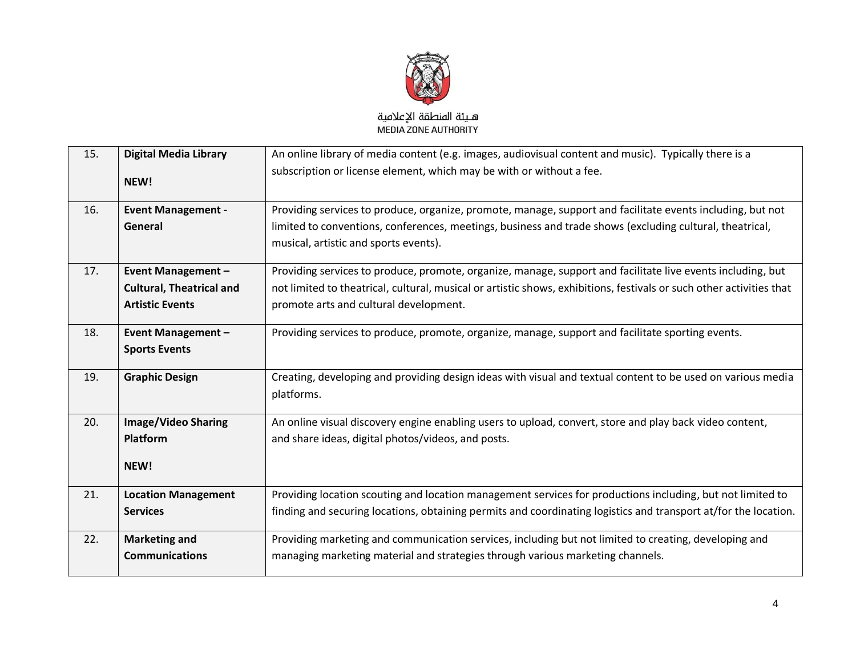

| 15. | <b>Digital Media Library</b><br>NEW!                                                   | An online library of media content (e.g. images, audiovisual content and music). Typically there is a<br>subscription or license element, which may be with or without a fee.                                                                                                 |
|-----|----------------------------------------------------------------------------------------|-------------------------------------------------------------------------------------------------------------------------------------------------------------------------------------------------------------------------------------------------------------------------------|
| 16. | <b>Event Management -</b><br>General                                                   | Providing services to produce, organize, promote, manage, support and facilitate events including, but not<br>limited to conventions, conferences, meetings, business and trade shows (excluding cultural, theatrical,<br>musical, artistic and sports events).               |
| 17. | <b>Event Management -</b><br><b>Cultural, Theatrical and</b><br><b>Artistic Events</b> | Providing services to produce, promote, organize, manage, support and facilitate live events including, but<br>not limited to theatrical, cultural, musical or artistic shows, exhibitions, festivals or such other activities that<br>promote arts and cultural development. |
| 18. | <b>Event Management -</b><br><b>Sports Events</b>                                      | Providing services to produce, promote, organize, manage, support and facilitate sporting events.                                                                                                                                                                             |
| 19. | <b>Graphic Design</b>                                                                  | Creating, developing and providing design ideas with visual and textual content to be used on various media<br>platforms.                                                                                                                                                     |
| 20. | <b>Image/Video Sharing</b><br>Platform<br>NEW!                                         | An online visual discovery engine enabling users to upload, convert, store and play back video content,<br>and share ideas, digital photos/videos, and posts.                                                                                                                 |
| 21. | <b>Location Management</b><br><b>Services</b>                                          | Providing location scouting and location management services for productions including, but not limited to<br>finding and securing locations, obtaining permits and coordinating logistics and transport at/for the location.                                                 |
| 22. | <b>Marketing and</b><br><b>Communications</b>                                          | Providing marketing and communication services, including but not limited to creating, developing and<br>managing marketing material and strategies through various marketing channels.                                                                                       |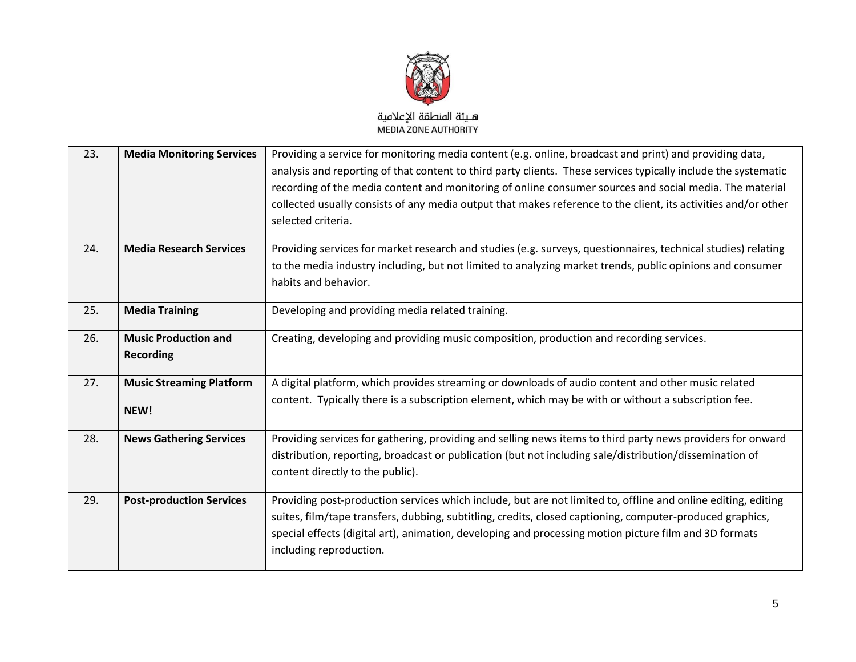

| 23. | <b>Media Monitoring Services</b>                | Providing a service for monitoring media content (e.g. online, broadcast and print) and providing data,<br>analysis and reporting of that content to third party clients. These services typically include the systematic<br>recording of the media content and monitoring of online consumer sources and social media. The material<br>collected usually consists of any media output that makes reference to the client, its activities and/or other<br>selected criteria. |
|-----|-------------------------------------------------|------------------------------------------------------------------------------------------------------------------------------------------------------------------------------------------------------------------------------------------------------------------------------------------------------------------------------------------------------------------------------------------------------------------------------------------------------------------------------|
| 24. | <b>Media Research Services</b>                  | Providing services for market research and studies (e.g. surveys, questionnaires, technical studies) relating<br>to the media industry including, but not limited to analyzing market trends, public opinions and consumer<br>habits and behavior.                                                                                                                                                                                                                           |
| 25. | <b>Media Training</b>                           | Developing and providing media related training.                                                                                                                                                                                                                                                                                                                                                                                                                             |
| 26. | <b>Music Production and</b><br><b>Recording</b> | Creating, developing and providing music composition, production and recording services.                                                                                                                                                                                                                                                                                                                                                                                     |
| 27. | <b>Music Streaming Platform</b><br>NEW!         | A digital platform, which provides streaming or downloads of audio content and other music related<br>content. Typically there is a subscription element, which may be with or without a subscription fee.                                                                                                                                                                                                                                                                   |
| 28. | <b>News Gathering Services</b>                  | Providing services for gathering, providing and selling news items to third party news providers for onward<br>distribution, reporting, broadcast or publication (but not including sale/distribution/dissemination of<br>content directly to the public).                                                                                                                                                                                                                   |
| 29. | <b>Post-production Services</b>                 | Providing post-production services which include, but are not limited to, offline and online editing, editing<br>suites, film/tape transfers, dubbing, subtitling, credits, closed captioning, computer-produced graphics,<br>special effects (digital art), animation, developing and processing motion picture film and 3D formats<br>including reproduction.                                                                                                              |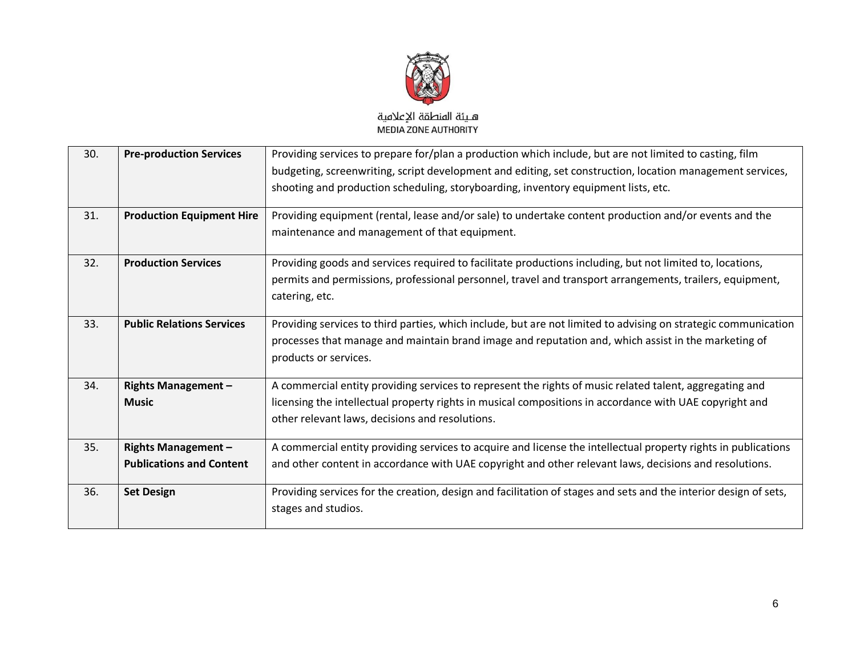

| 30. | <b>Pre-production Services</b>   | Providing services to prepare for/plan a production which include, but are not limited to casting, film          |
|-----|----------------------------------|------------------------------------------------------------------------------------------------------------------|
|     |                                  | budgeting, screenwriting, script development and editing, set construction, location management services,        |
|     |                                  | shooting and production scheduling, storyboarding, inventory equipment lists, etc.                               |
| 31. | <b>Production Equipment Hire</b> | Providing equipment (rental, lease and/or sale) to undertake content production and/or events and the            |
|     |                                  | maintenance and management of that equipment.                                                                    |
| 32. | <b>Production Services</b>       | Providing goods and services required to facilitate productions including, but not limited to, locations,        |
|     |                                  | permits and permissions, professional personnel, travel and transport arrangements, trailers, equipment,         |
|     |                                  | catering, etc.                                                                                                   |
| 33. | <b>Public Relations Services</b> | Providing services to third parties, which include, but are not limited to advising on strategic communication   |
|     |                                  | processes that manage and maintain brand image and reputation and, which assist in the marketing of              |
|     |                                  | products or services.                                                                                            |
| 34. | <b>Rights Management -</b>       | A commercial entity providing services to represent the rights of music related talent, aggregating and          |
|     | <b>Music</b>                     | licensing the intellectual property rights in musical compositions in accordance with UAE copyright and          |
|     |                                  | other relevant laws, decisions and resolutions.                                                                  |
| 35. | <b>Rights Management -</b>       | A commercial entity providing services to acquire and license the intellectual property rights in publications   |
|     | <b>Publications and Content</b>  | and other content in accordance with UAE copyright and other relevant laws, decisions and resolutions.           |
| 36. | <b>Set Design</b>                | Providing services for the creation, design and facilitation of stages and sets and the interior design of sets, |
|     |                                  | stages and studios.                                                                                              |
|     |                                  |                                                                                                                  |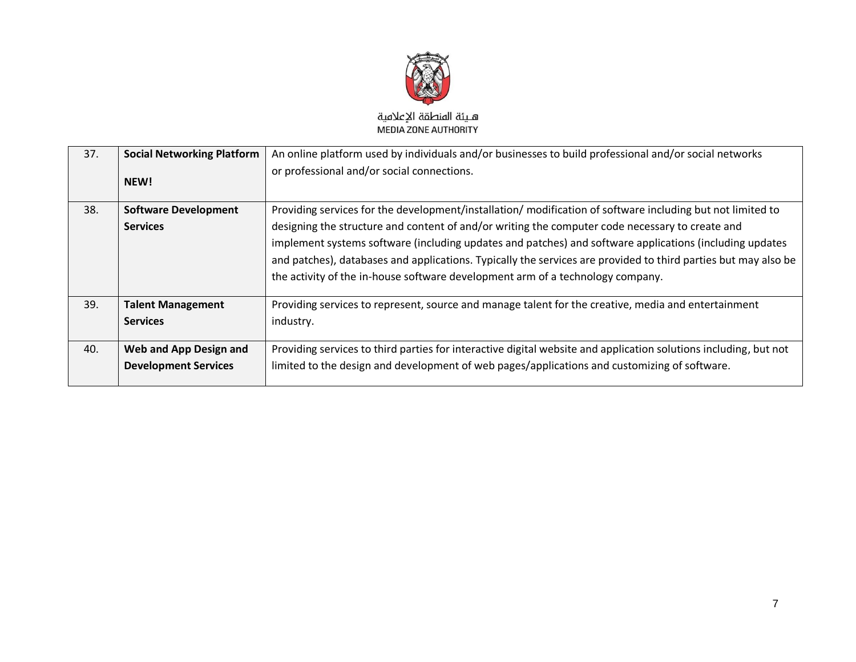

| 37. | <b>Social Networking Platform</b><br>NEW!             | An online platform used by individuals and/or businesses to build professional and/or social networks<br>or professional and/or social connections.                                                                                                                                                                                                                                                                                                                                                                         |
|-----|-------------------------------------------------------|-----------------------------------------------------------------------------------------------------------------------------------------------------------------------------------------------------------------------------------------------------------------------------------------------------------------------------------------------------------------------------------------------------------------------------------------------------------------------------------------------------------------------------|
| 38. | <b>Software Development</b><br><b>Services</b>        | Providing services for the development/installation/modification of software including but not limited to<br>designing the structure and content of and/or writing the computer code necessary to create and<br>implement systems software (including updates and patches) and software applications (including updates<br>and patches), databases and applications. Typically the services are provided to third parties but may also be<br>the activity of the in-house software development arm of a technology company. |
| 39. | <b>Talent Management</b><br><b>Services</b>           | Providing services to represent, source and manage talent for the creative, media and entertainment<br>industry.                                                                                                                                                                                                                                                                                                                                                                                                            |
| 40. | Web and App Design and<br><b>Development Services</b> | Providing services to third parties for interactive digital website and application solutions including, but not<br>limited to the design and development of web pages/applications and customizing of software.                                                                                                                                                                                                                                                                                                            |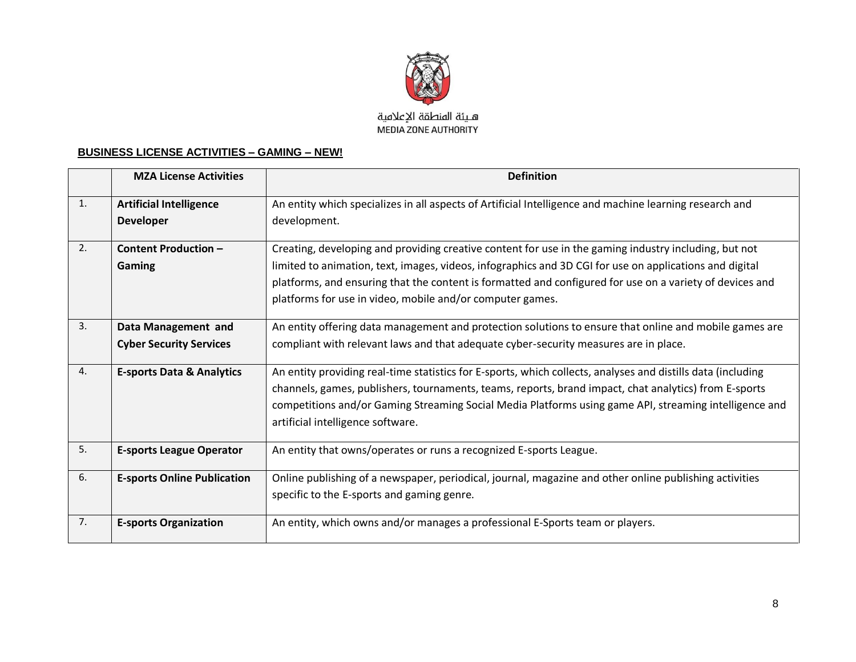

#### **BUSINESS LICENSE ACTIVITIES – GAMING – NEW!**

|    | <b>MZA License Activities</b>        | <b>Definition</b>                                                                                            |
|----|--------------------------------------|--------------------------------------------------------------------------------------------------------------|
| 1. | <b>Artificial Intelligence</b>       | An entity which specializes in all aspects of Artificial Intelligence and machine learning research and      |
|    | <b>Developer</b>                     | development.                                                                                                 |
| 2. | <b>Content Production -</b>          | Creating, developing and providing creative content for use in the gaming industry including, but not        |
|    | Gaming                               | limited to animation, text, images, videos, infographics and 3D CGI for use on applications and digital      |
|    |                                      | platforms, and ensuring that the content is formatted and configured for use on a variety of devices and     |
|    |                                      | platforms for use in video, mobile and/or computer games.                                                    |
| 3. | Data Management and                  | An entity offering data management and protection solutions to ensure that online and mobile games are       |
|    | <b>Cyber Security Services</b>       | compliant with relevant laws and that adequate cyber-security measures are in place.                         |
| 4. | <b>E-sports Data &amp; Analytics</b> | An entity providing real-time statistics for E-sports, which collects, analyses and distills data (including |
|    |                                      | channels, games, publishers, tournaments, teams, reports, brand impact, chat analytics) from E-sports        |
|    |                                      | competitions and/or Gaming Streaming Social Media Platforms using game API, streaming intelligence and       |
|    |                                      | artificial intelligence software.                                                                            |
| 5. | <b>E-sports League Operator</b>      | An entity that owns/operates or runs a recognized E-sports League.                                           |
| 6. | <b>E-sports Online Publication</b>   | Online publishing of a newspaper, periodical, journal, magazine and other online publishing activities       |
|    |                                      | specific to the E-sports and gaming genre.                                                                   |
| 7. | <b>E-sports Organization</b>         | An entity, which owns and/or manages a professional E-Sports team or players.                                |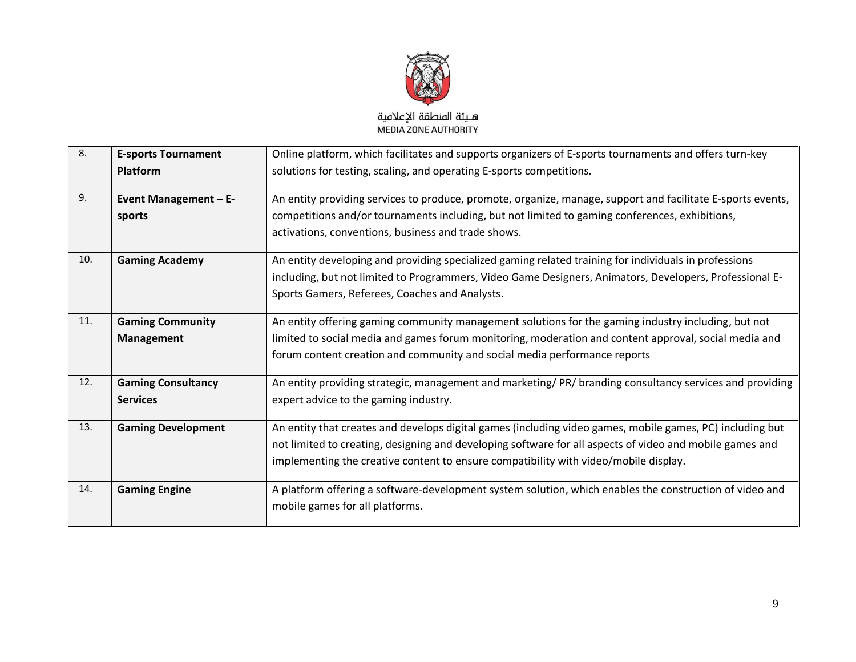

| 8.  | <b>E-sports Tournament</b>                   | Online platform, which facilitates and supports organizers of E-sports tournaments and offers turn-key                                                                                                                                                                                                        |
|-----|----------------------------------------------|---------------------------------------------------------------------------------------------------------------------------------------------------------------------------------------------------------------------------------------------------------------------------------------------------------------|
|     | <b>Platform</b>                              | solutions for testing, scaling, and operating E-sports competitions.                                                                                                                                                                                                                                          |
| 9.  | <b>Event Management - E-</b><br>sports       | An entity providing services to produce, promote, organize, manage, support and facilitate E-sports events,<br>competitions and/or tournaments including, but not limited to gaming conferences, exhibitions,<br>activations, conventions, business and trade shows.                                          |
| 10. | <b>Gaming Academy</b>                        | An entity developing and providing specialized gaming related training for individuals in professions<br>including, but not limited to Programmers, Video Game Designers, Animators, Developers, Professional E-<br>Sports Gamers, Referees, Coaches and Analysts.                                            |
| 11. | <b>Gaming Community</b><br>Management        | An entity offering gaming community management solutions for the gaming industry including, but not<br>limited to social media and games forum monitoring, moderation and content approval, social media and<br>forum content creation and community and social media performance reports                     |
| 12. | <b>Gaming Consultancy</b><br><b>Services</b> | An entity providing strategic, management and marketing/PR/branding consultancy services and providing<br>expert advice to the gaming industry.                                                                                                                                                               |
| 13. | <b>Gaming Development</b>                    | An entity that creates and develops digital games (including video games, mobile games, PC) including but<br>not limited to creating, designing and developing software for all aspects of video and mobile games and<br>implementing the creative content to ensure compatibility with video/mobile display. |
| 14. | <b>Gaming Engine</b>                         | A platform offering a software-development system solution, which enables the construction of video and<br>mobile games for all platforms.                                                                                                                                                                    |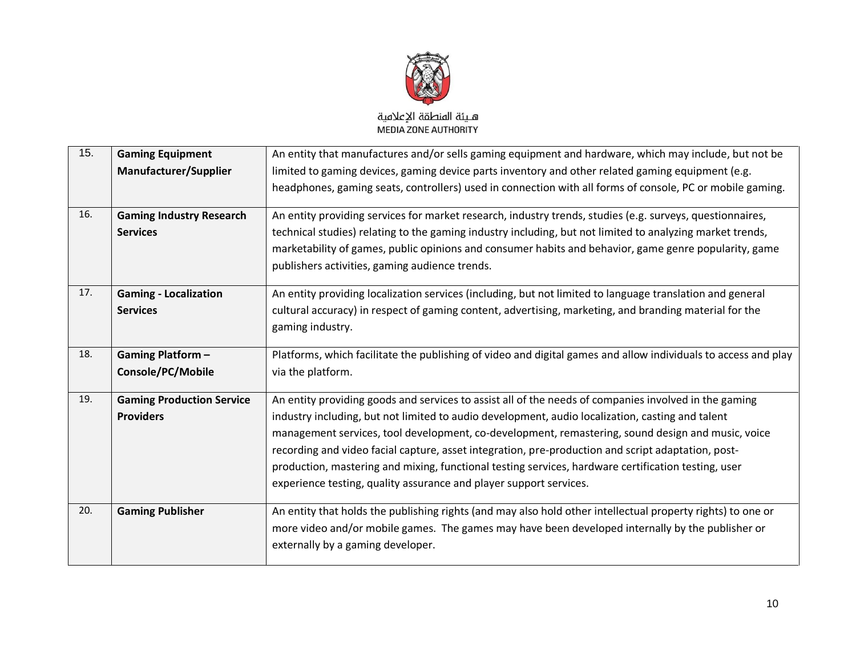

| 15. | <b>Gaming Equipment</b>          | An entity that manufactures and/or sells gaming equipment and hardware, which may include, but not be          |
|-----|----------------------------------|----------------------------------------------------------------------------------------------------------------|
|     | <b>Manufacturer/Supplier</b>     | limited to gaming devices, gaming device parts inventory and other related gaming equipment (e.g.              |
|     |                                  | headphones, gaming seats, controllers) used in connection with all forms of console, PC or mobile gaming.      |
| 16. | <b>Gaming Industry Research</b>  | An entity providing services for market research, industry trends, studies (e.g. surveys, questionnaires,      |
|     | <b>Services</b>                  | technical studies) relating to the gaming industry including, but not limited to analyzing market trends,      |
|     |                                  | marketability of games, public opinions and consumer habits and behavior, game genre popularity, game          |
|     |                                  | publishers activities, gaming audience trends.                                                                 |
| 17. | <b>Gaming - Localization</b>     | An entity providing localization services (including, but not limited to language translation and general      |
|     | <b>Services</b>                  | cultural accuracy) in respect of gaming content, advertising, marketing, and branding material for the         |
|     |                                  | gaming industry.                                                                                               |
|     |                                  |                                                                                                                |
| 18. | <b>Gaming Platform-</b>          | Platforms, which facilitate the publishing of video and digital games and allow individuals to access and play |
|     | Console/PC/Mobile                | via the platform.                                                                                              |
| 19. | <b>Gaming Production Service</b> | An entity providing goods and services to assist all of the needs of companies involved in the gaming          |
|     | <b>Providers</b>                 | industry including, but not limited to audio development, audio localization, casting and talent               |
|     |                                  | management services, tool development, co-development, remastering, sound design and music, voice              |
|     |                                  | recording and video facial capture, asset integration, pre-production and script adaptation, post-             |
|     |                                  | production, mastering and mixing, functional testing services, hardware certification testing, user            |
|     |                                  | experience testing, quality assurance and player support services.                                             |
| 20. | <b>Gaming Publisher</b>          | An entity that holds the publishing rights (and may also hold other intellectual property rights) to one or    |
|     |                                  | more video and/or mobile games. The games may have been developed internally by the publisher or               |
|     |                                  | externally by a gaming developer.                                                                              |
|     |                                  |                                                                                                                |